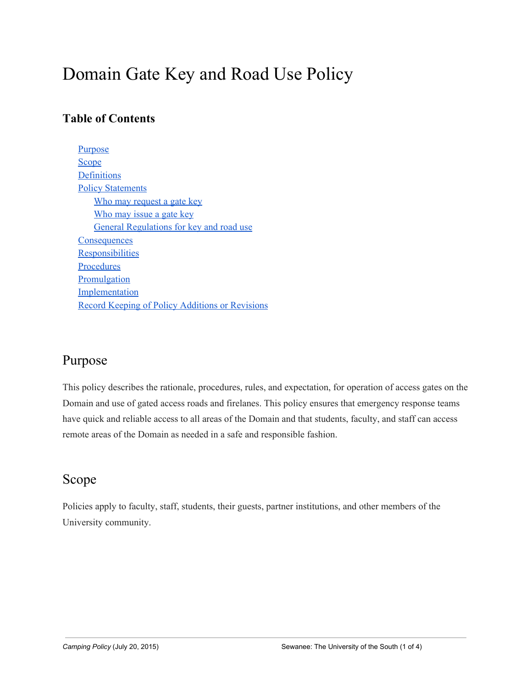# Domain Gate Key and Road Use Policy

### **Table of Contents**

[Purpose](#page-0-0) [Scope](#page-0-1) **[Definitions](#page-1-0)** [Policy Statements](#page-1-1) [Who may request a ga](#page-1-2)te key [Who may issue a ga](#page-1-3)te key [General Regulations for key and road us](#page-1-4)e **[Consequences](#page-2-0) [Responsibilities](#page-2-1) [Procedures](#page-2-2)** [Promulgation](#page-3-0) **[Implementation](#page-3-1)** [Record Keeping of Poli](#page-3-2)cy Additions or Revisions

# <span id="page-0-0"></span>Purpose

This policy describes the rationale, procedures, rules, and expectation, for operation of access gates on the Domain and use of gated access roads and firelanes. This policy ensures that emergency response teams have quick and reliable access to all areas of the Domain and that students, faculty, and staff can access remote areas of the Domain as needed in a safe and responsible fashion.

# <span id="page-0-1"></span>Scope

Policies apply to faculty, staff, students, their guests, partner institutions, and other members of the University community.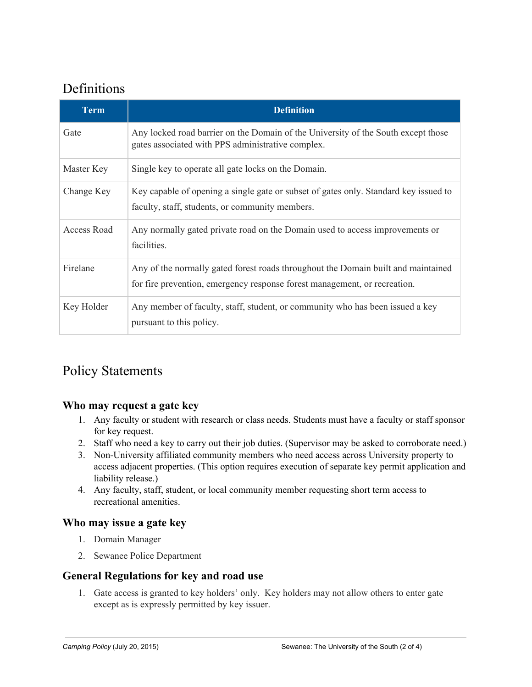# <span id="page-1-0"></span>Definitions

| <b>Term</b>        | <b>Definition</b>                                                                                                                                              |
|--------------------|----------------------------------------------------------------------------------------------------------------------------------------------------------------|
| Gate               | Any locked road barrier on the Domain of the University of the South except those<br>gates associated with PPS administrative complex.                         |
| Master Key         | Single key to operate all gate locks on the Domain.                                                                                                            |
| Change Key         | Key capable of opening a single gate or subset of gates only. Standard key issued to<br>faculty, staff, students, or community members.                        |
| <b>Access Road</b> | Any normally gated private road on the Domain used to access improvements or<br>facilities.                                                                    |
| Firelane           | Any of the normally gated forest roads throughout the Domain built and maintained<br>for fire prevention, emergency response forest management, or recreation. |
| Key Holder         | Any member of faculty, staff, student, or community who has been issued a key<br>pursuant to this policy.                                                      |

# <span id="page-1-2"></span><span id="page-1-1"></span>Policy Statements

#### **Who may request a gate key**

- 1. Any faculty or student with research or class needs. Students must have a faculty or staff sponsor for key request.
- 2. Staff who need a key to carry out their job duties. (Supervisor may be asked to corroborate need.)
- 3. Non-University affiliated community members who need access across University property to access adjacent properties. (This option requires execution of separate key permit application and liability release.)
- 4. Any faculty, staff, student, or local community member requesting short term access to recreational amenities.

#### <span id="page-1-3"></span>**Who may issue a gate key**

- 1. Domain Manager
- 2. Sewanee Police Department

#### <span id="page-1-4"></span>**General Regulations for key and road use**

1. Gate access is granted to key holders' only. Key holders may not allow others to enter gate except as is expressly permitted by key issuer.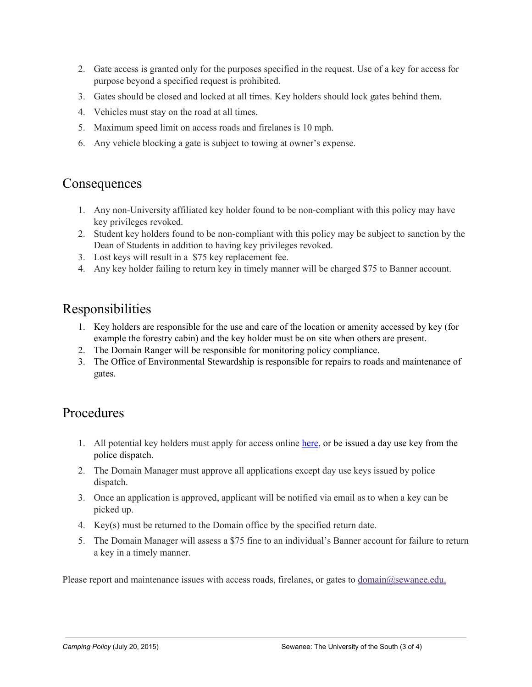- 2. Gate access is granted only for the purposes specified in the request. Use of a key for access for purpose beyond a specified request is prohibited.
- 3. Gates should be closed and locked at all times. Key holders should lock gates behind them.
- 4. Vehicles must stay on the road at all times.
- 5. Maximum speed limit on access roads and firelanes is 10 mph.
- <span id="page-2-0"></span>6. Any vehicle blocking a gate is subject to towing at owner's expense.

### **Consequences**

- 1. Any non-University affiliated key holder found to be non-compliant with this policy may have key privileges revoked.
- 2. Student key holders found to be non-compliant with this policy may be subject to sanction by the Dean of Students in addition to having key privileges revoked.
- 3. Lost keys will result in a \$75 key replacement fee.
- <span id="page-2-1"></span>4. Any key holder failing to return key in timely manner will be charged \$75 to Banner account.

### Responsibilities

- 1. Key holders are responsible for the use and care of the location or amenity accessed by key (for example the forestry cabin) and the key holder must be on site when others are present.
- 2. The Domain Ranger will be responsible for monitoring policy compliance.
- <span id="page-2-2"></span>3. The Office of Environmental Stewardship is responsible for repairs to roads and maintenance of gates.

### Procedures

- 1. All potential key holders must apply for access online [here](https://docs.google.com/a/sewanee.edu/forms/d/1r8wovXxea5zu-vghYASIxXp4jx8BbZsUTciE6G8uQW4/viewform), or be issued a day use key from the police dispatch.
- 2. The Domain Manager must approve all applications except day use keys issued by police dispatch.
- 3. Once an application is approved, applicant will be notified via email as to when a key can be picked up.
- 4. Key(s) must be returned to the Domain office by the specified return date.
- 5. The Domain Manager will assess a \$75 fine to an individual's Banner account for failure to return a key in a timely manner.

Please report and maintenance issues with access roads, firelanes, or gates to [domain@sewanee.edu.](mailto:domain@sewanee.edu)